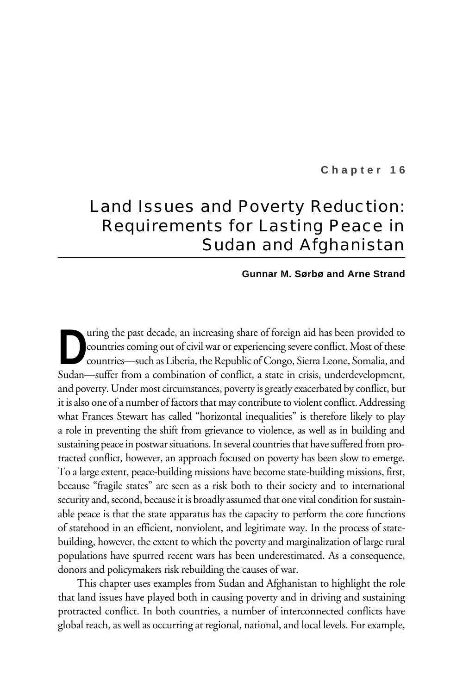**Chapter 16**

# Land Issues and Poverty Reduction: Requirements for Lasting Peace in Sudan and Afghanistan

#### **Gunnar M. Sørbø and Arne Strand**

United to countries coming out of civil war or experiencing severe conflict. Most of these countries—such as Liberia, the Republic of Congo, Sierra Leone, Somalia, and Sudan cuffer from a combination of conflict a state in countries coming out of civil war or experiencing severe conflict. Most of these Sudan—suffer from a combination of conflict, a state in crisis, underdevelopment, and poverty. Under most circumstances, poverty is greatly exacerbated by conflict, but it is also one of a number of factors that may contribute to violent conflict. Addressing what Frances Stewart has called "horizontal inequalities" is therefore likely to play a role in preventing the shift from grievance to violence, as well as in building and sustaining peace in postwar situations. In several countries that have suffered from protracted conflict, however, an approach focused on poverty has been slow to emerge. To a large extent, peace-building missions have become state-building missions, first, because "fragile states" are seen as a risk both to their society and to international security and, second, because it is broadly assumed that one vital condition for sustainable peace is that the state apparatus has the capacity to perform the core functions of statehood in an efficient, nonviolent, and legitimate way. In the process of statebuilding, however, the extent to which the poverty and marginalization of large rural populations have spurred recent wars has been underestimated. As a consequence, donors and policymakers risk rebuilding the causes of war.

This chapter uses examples from Sudan and Afghanistan to highlight the role that land issues have played both in causing poverty and in driving and sustaining protracted conflict. In both countries, a number of interconnected conflicts have global reach, as well as occurring at regional, national, and local levels. For example,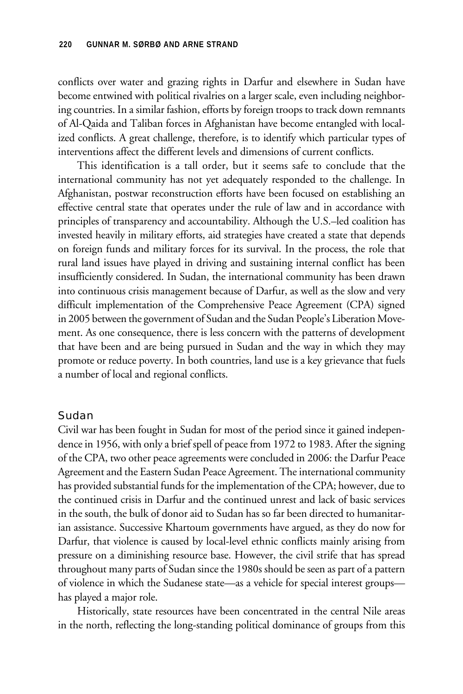conflicts over water and grazing rights in Darfur and elsewhere in Sudan have become entwined with political rivalries on a larger scale, even including neighboring countries. In a similar fashion, efforts by foreign troops to track down remnants of Al-Qaida and Taliban forces in Afghanistan have become entangled with localized conflicts. A great challenge, therefore, is to identify which particular types of interventions affect the different levels and dimensions of current conflicts.

This identification is a tall order, but it seems safe to conclude that the international community has not yet adequately responded to the challenge. In Afghanistan, postwar reconstruction efforts have been focused on establishing an effective central state that operates under the rule of law and in accordance with principles of transparency and accountability. Although the U.S.–led coalition has invested heavily in military efforts, aid strategies have created a state that depends on foreign funds and military forces for its survival. In the process, the role that rural land issues have played in driving and sustaining internal conflict has been insufficiently considered. In Sudan, the international community has been drawn into continuous crisis management because of Darfur, as well as the slow and very difficult implementation of the Comprehensive Peace Agreement (CPA) signed in 2005 between the government of Sudan and the Sudan People's Liberation Movement. As one consequence, there is less concern with the patterns of development that have been and are being pursued in Sudan and the way in which they may promote or reduce poverty. In both countries, land use is a key grievance that fuels a number of local and regional conflicts.

#### Sudan

Civil war has been fought in Sudan for most of the period since it gained independence in 1956, with only a brief spell of peace from 1972 to 1983. After the signing of the CPA, two other peace agreements were concluded in 2006: the Darfur Peace Agreement and the Eastern Sudan Peace Agreement. The international community has provided substantial funds for the implementation of the CPA; however, due to the continued crisis in Darfur and the continued unrest and lack of basic services in the south, the bulk of donor aid to Sudan has so far been directed to humanitarian assistance. Successive Khartoum governments have argued, as they do now for Darfur, that violence is caused by local-level ethnic conflicts mainly arising from pressure on a diminishing resource base. However, the civil strife that has spread throughout many parts of Sudan since the 1980s should be seen as part of a pattern of violence in which the Sudanese state—as a vehicle for special interest groups has played a major role.

Historically, state resources have been concentrated in the central Nile areas in the north, reflecting the long-standing political dominance of groups from this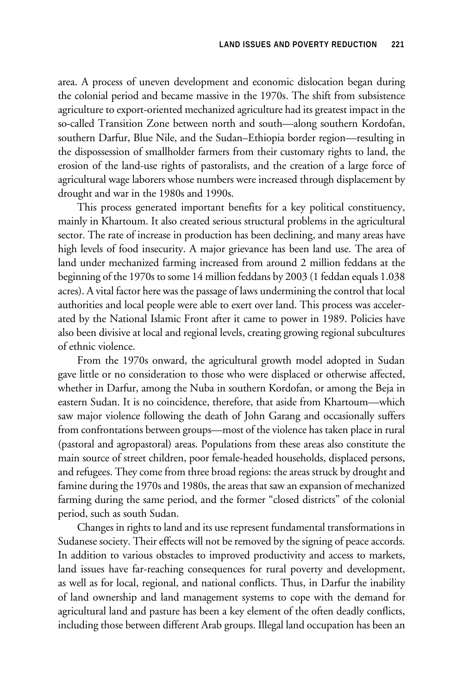area. A process of uneven development and economic dislocation began during the colonial period and became massive in the 1970s. The shift from subsistence agriculture to export-oriented mechanized agriculture had its greatest impact in the so-called Transition Zone between north and south—along southern Kordofan, southern Darfur, Blue Nile, and the Sudan–Ethiopia border region—resulting in the dispossession of smallholder farmers from their customary rights to land, the erosion of the land-use rights of pastoralists, and the creation of a large force of agricultural wage laborers whose numbers were increased through displacement by drought and war in the 1980s and 1990s.

This process generated important benefits for a key political constituency, mainly in Khartoum. It also created serious structural problems in the agricultural sector. The rate of increase in production has been declining, and many areas have high levels of food insecurity. A major grievance has been land use. The area of land under mechanized farming increased from around 2 million feddans at the beginning of the 1970s to some 14 million feddans by 2003 (1 feddan equals 1.038 acres). A vital factor here was the passage of laws undermining the control that local authorities and local people were able to exert over land. This process was accelerated by the National Islamic Front after it came to power in 1989. Policies have also been divisive at local and regional levels, creating growing regional subcultures of ethnic violence.

From the 1970s onward, the agricultural growth model adopted in Sudan gave little or no consideration to those who were displaced or otherwise affected, whether in Darfur, among the Nuba in southern Kordofan, or among the Beja in eastern Sudan. It is no coincidence, therefore, that aside from Khartoum—which saw major violence following the death of John Garang and occasionally suffers from confrontations between groups—most of the violence has taken place in rural (pastoral and agropastoral) areas. Populations from these areas also constitute the main source of street children, poor female-headed households, displaced persons, and refugees. They come from three broad regions: the areas struck by drought and famine during the 1970s and 1980s, the areas that saw an expansion of mechanized farming during the same period, and the former "closed districts" of the colonial period, such as south Sudan.

Changes in rights to land and its use represent fundamental transformations in Sudanese society. Their effects will not be removed by the signing of peace accords. In addition to various obstacles to improved productivity and access to markets, land issues have far-reaching consequences for rural poverty and development, as well as for local, regional, and national conflicts. Thus, in Darfur the inability of land ownership and land management systems to cope with the demand for agricultural land and pasture has been a key element of the often deadly conflicts, including those between different Arab groups. Illegal land occupation has been an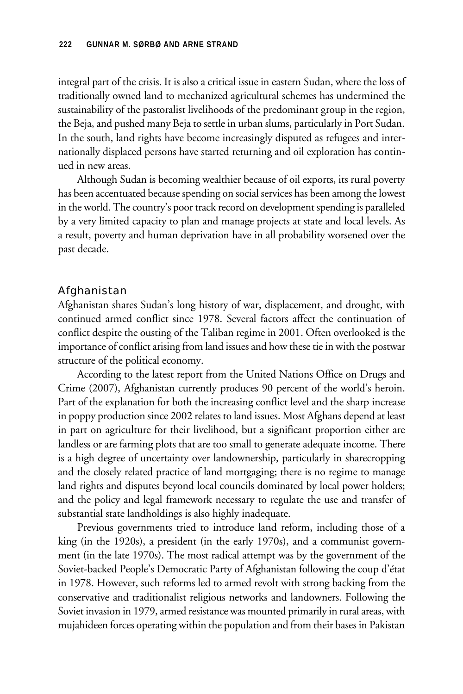integral part of the crisis. It is also a critical issue in eastern Sudan, where the loss of traditionally owned land to mechanized agricultural schemes has undermined the sustainability of the pastoralist livelihoods of the predominant group in the region, the Beja, and pushed many Beja to settle in urban slums, particularly in Port Sudan. In the south, land rights have become increasingly disputed as refugees and internationally displaced persons have started returning and oil exploration has continued in new areas.

Although Sudan is becoming wealthier because of oil exports, its rural poverty has been accentuated because spending on social services has been among the lowest in the world. The country's poor track record on development spending is paralleled by a very limited capacity to plan and manage projects at state and local levels. As a result, poverty and human deprivation have in all probability worsened over the past decade.

## Afghanistan

Afghanistan shares Sudan's long history of war, displacement, and drought, with continued armed conflict since 1978. Several factors affect the continuation of conflict despite the ousting of the Taliban regime in 2001. Often overlooked is the importance of conflict arising from land issues and how these tie in with the postwar structure of the political economy.

According to the latest report from the United Nations Office on Drugs and Crime (2007), Afghanistan currently produces 90 percent of the world's heroin. Part of the explanation for both the increasing conflict level and the sharp increase in poppy production since 2002 relates to land issues. Most Afghans depend at least in part on agriculture for their livelihood, but a significant proportion either are landless or are farming plots that are too small to generate adequate income. There is a high degree of uncertainty over landownership, particularly in sharecropping and the closely related practice of land mortgaging; there is no regime to manage land rights and disputes beyond local councils dominated by local power holders; and the policy and legal framework necessary to regulate the use and transfer of substantial state landholdings is also highly inadequate.

Previous governments tried to introduce land reform, including those of a king (in the 1920s), a president (in the early 1970s), and a communist government (in the late 1970s). The most radical attempt was by the government of the Soviet-backed People's Democratic Party of Afghanistan following the coup d'état in 1978. However, such reforms led to armed revolt with strong backing from the conservative and traditionalist religious networks and landowners. Following the Soviet invasion in 1979, armed resistance was mounted primarily in rural areas, with mujahideen forces operating within the population and from their bases in Pakistan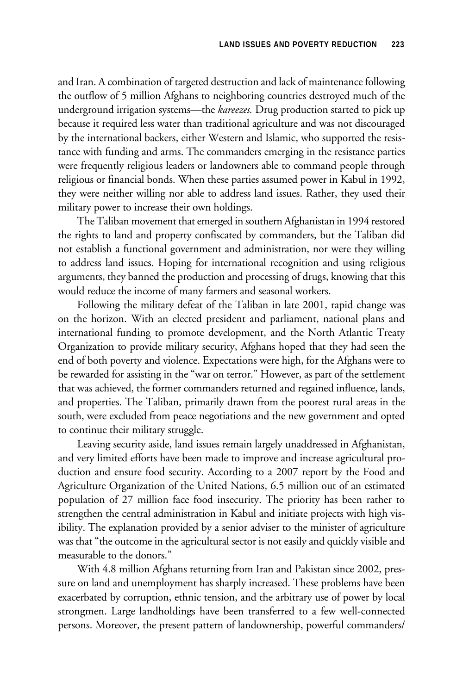and Iran. A combination of targeted destruction and lack of maintenance following the outflow of 5 million Afghans to neighboring countries destroyed much of the underground irrigation systems—the *kareezes.* Drug production started to pick up because it required less water than traditional agriculture and was not discouraged by the international backers, either Western and Islamic, who supported the resistance with funding and arms. The commanders emerging in the resistance parties were frequently religious leaders or landowners able to command people through religious or financial bonds. When these parties assumed power in Kabul in 1992, they were neither willing nor able to address land issues. Rather, they used their military power to increase their own holdings.

The Taliban movement that emerged in southern Afghanistan in 1994 restored the rights to land and property confiscated by commanders, but the Taliban did not establish a functional government and administration, nor were they willing to address land issues. Hoping for international recognition and using religious arguments, they banned the production and processing of drugs, knowing that this would reduce the income of many farmers and seasonal workers.

Following the military defeat of the Taliban in late 2001, rapid change was on the horizon. With an elected president and parliament, national plans and international funding to promote development, and the North Atlantic Treaty Organization to provide military security, Afghans hoped that they had seen the end of both poverty and violence. Expectations were high, for the Afghans were to be rewarded for assisting in the "war on terror." However, as part of the settlement that was achieved, the former commanders returned and regained influence, lands, and properties. The Taliban, primarily drawn from the poorest rural areas in the south, were excluded from peace negotiations and the new government and opted to continue their military struggle.

Leaving security aside, land issues remain largely unaddressed in Afghanistan, and very limited efforts have been made to improve and increase agricultural production and ensure food security. According to a 2007 report by the Food and Agriculture Organization of the United Nations, 6.5 million out of an estimated population of 27 million face food insecurity. The priority has been rather to strengthen the central administration in Kabul and initiate projects with high visibility. The explanation provided by a senior adviser to the minister of agriculture was that "the outcome in the agricultural sector is not easily and quickly visible and measurable to the donors."

With 4.8 million Afghans returning from Iran and Pakistan since 2002, pressure on land and unemployment has sharply increased. These problems have been exacerbated by corruption, ethnic tension, and the arbitrary use of power by local strongmen. Large landholdings have been transferred to a few well-connected persons. Moreover, the present pattern of landownership, powerful commanders/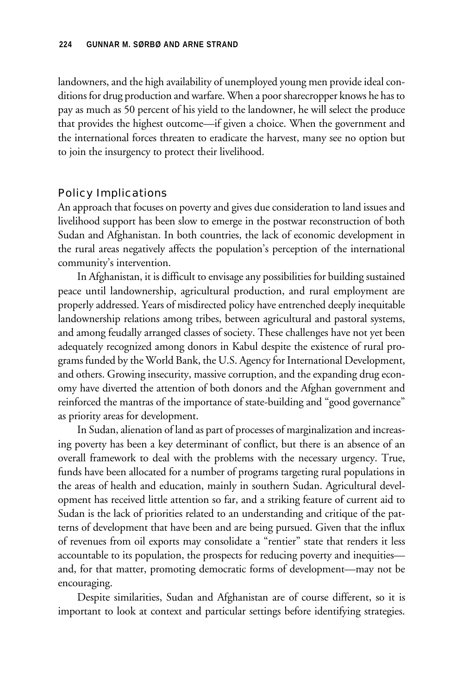landowners, and the high availability of unemployed young men provide ideal conditions for drug production and warfare. When a poor sharecropper knows he has to pay as much as 50 percent of his yield to the landowner, he will select the produce that provides the highest outcome—if given a choice. When the government and the international forces threaten to eradicate the harvest, many see no option but to join the insurgency to protect their livelihood.

## Policy Implications

An approach that focuses on poverty and gives due consideration to land issues and livelihood support has been slow to emerge in the postwar reconstruction of both Sudan and Afghanistan. In both countries, the lack of economic development in the rural areas negatively affects the population's perception of the international community's intervention.

In Afghanistan, it is difficult to envisage any possibilities for building sustained peace until landownership, agricultural production, and rural employment are properly addressed. Years of misdirected policy have entrenched deeply inequitable landownership relations among tribes, between agricultural and pastoral systems, and among feudally arranged classes of society. These challenges have not yet been adequately recognized among donors in Kabul despite the existence of rural programs funded by the World Bank, the U.S. Agency for International Development, and others. Growing insecurity, massive corruption, and the expanding drug economy have diverted the attention of both donors and the Afghan government and reinforced the mantras of the importance of state-building and "good governance" as priority areas for development.

In Sudan, alienation of land as part of processes of marginalization and increasing poverty has been a key determinant of conflict, but there is an absence of an overall framework to deal with the problems with the necessary urgency. True, funds have been allocated for a number of programs targeting rural populations in the areas of health and education, mainly in southern Sudan. Agricultural development has received little attention so far, and a striking feature of current aid to Sudan is the lack of priorities related to an understanding and critique of the patterns of development that have been and are being pursued. Given that the influx of revenues from oil exports may consolidate a "rentier" state that renders it less accountable to its population, the prospects for reducing poverty and inequities and, for that matter, promoting democratic forms of development—may not be encouraging.

Despite similarities, Sudan and Afghanistan are of course different, so it is important to look at context and particular settings before identifying strategies.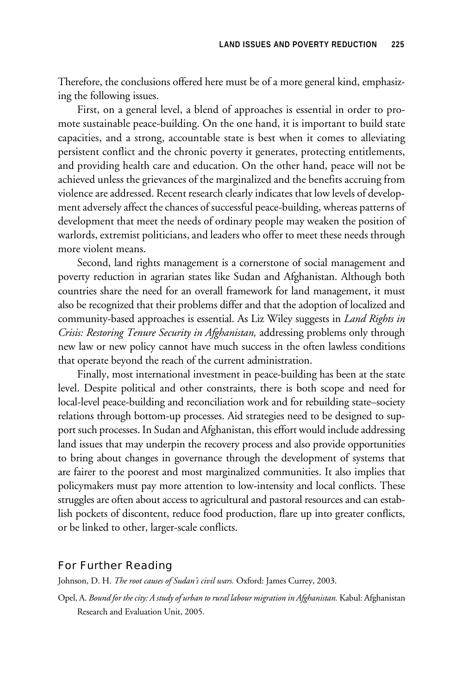Therefore, the conclusions offered here must be of a more general kind, emphasizing the following issues.

First, on a general level, a blend of approaches is essential in order to promote sustainable peace-building. On the one hand, it is important to build state capacities, and a strong, accountable state is best when it comes to alleviating persistent conflict and the chronic poverty it generates, protecting entitlements, and providing health care and education. On the other hand, peace will not be achieved unless the grievances of the marginalized and the benefits accruing from violence are addressed. Recent research clearly indicates that low levels of development adversely affect the chances of successful peace-building, whereas patterns of development that meet the needs of ordinary people may weaken the position of warlords, extremist politicians, and leaders who offer to meet these needs through more violent means.

Second, land rights management is a cornerstone of social management and poverty reduction in agrarian states like Sudan and Afghanistan. Although both countries share the need for an overall framework for land management, it must also be recognized that their problems differ and that the adoption of localized and community-based approaches is essential. As Liz Wiley suggests in *Land Rights in Crisis: Restoring Tenure Security in Afghanistan,* addressing problems only through new law or new policy cannot have much success in the often lawless conditions that operate beyond the reach of the current administration.

Finally, most international investment in peace-building has been at the state level. Despite political and other constraints, there is both scope and need for local-level peace-building and reconciliation work and for rebuilding state–society relations through bottom-up processes. Aid strategies need to be designed to support such processes. In Sudan and Afghanistan, this effort would include addressing land issues that may underpin the recovery process and also provide opportunities to bring about changes in governance through the development of systems that are fairer to the poorest and most marginalized communities. It also implies that policymakers must pay more attention to low-intensity and local conflicts. These struggles are often about access to agricultural and pastoral resources and can establish pockets of discontent, reduce food production, flare up into greater conflicts, or be linked to other, larger-scale conflicts.

### For Further Reading

Johnson, D. H. *The root causes of Sudan's civil wars.* Oxford: James Currey, 2003.

Opel, A. *Bound for the city: A study of urban to rural labour migration in Afghanistan.* Kabul: Afghanistan Research and Evaluation Unit, 2005.